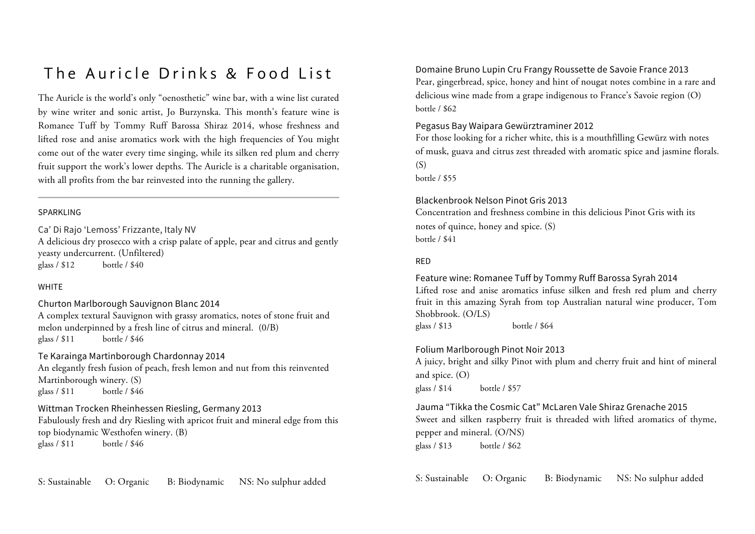## The Auricle Drinks & Food List

The Auricle is the world's only "oenosthetic" wine bar, with a wine list curated by wine writer and sonic artist, Jo Burzynska. This month's feature wine is Romanee Tuff by Tommy Ruff Barossa Shiraz 2014, whose freshness and lifted rose and anise aromatics work with the high frequencies of You might come out of the water every time singing, while its silken red plum and cherry fruit support the work's lower depths. The Auricle is a charitable organisation, with all profits from the bar reinvested into the running the gallery.

#### SPARKLING

Ca' Di Rajo 'Lemoss' Frizzante, Italy NV

A delicious dry prosecco with a crisp palate of apple, pear and citrus and gently yeasty undercurrent. (Unfiltered) glass / \$12 bottle / \$40

#### **WHITE**

Churton Marlborough Sauvignon Blanc 2014 A complex textural Sauvignon with grassy aromatics, notes of stone fruit and melon underpinned by a fresh line of citrus and mineral. (0/B) glass / \$11 bottle / \$46

### Te Karainga Martinborough Chardonnay 2014

An elegantly fresh fusion of peach, fresh lemon and nut from this reinvented Martinborough winery. (S) glass / \$11 bottle / \$46

## Wittman Trocken Rheinhessen Riesling, Germany 2013

Fabulously fresh and dry Riesling with apricot fruit and mineral edge from this top biodynamic Westhofen winery. (B) glass / \$11 bottle / \$46

S: Sustainable O: Organic B: Biodynamic NS: No sulphur added

Domaine Bruno Lupin Cru Frangy Roussette de Savoie France 2013 Pear, gingerbread, spice, honey and hint of nougat notes combine in a rare and delicious wine made from a grape indigenous to France's Savoie region (O) bottle / \$62

### Pegasus Bay Waipara Gewürztraminer 2012

For those looking for a richer white, this is a mouthfilling Gewürz with notes of musk, guava and citrus zest threaded with aromatic spice and jasmine florals.  $(S)$ 

bottle / \$55

#### Blackenbrook Nelson Pinot Gris 2013

Concentration and freshness combine in this delicious Pinot Gris with its notes of quince, honey and spice. (S) bottle / \$41

#### RED

#### Feature wine: Romanee Tuff by Tommy Ruff Barossa Syrah 2014

Lifted rose and anise aromatics infuse silken and fresh red plum and cherry fruit in this amazing Syrah from top Australian natural wine producer, Tom Shobbrook. (O/LS) glass / \$13 bottle / \$64

## Folium Marlborough Pinot Noir 2013

A juicy, bright and silky Pinot with plum and cherry fruit and hint of mineral and spice. (O) glass / \$14 bottle / \$57

Jauma "Tikka the Cosmic Cat" McLaren Vale Shiraz Grenache 2015 Sweet and silken raspberry fruit is threaded with lifted aromatics of thyme, pepper and mineral. (O/NS) glass / \$13 bottle / \$62

S: Sustainable O: Organic B: Biodynamic NS: No sulphur added